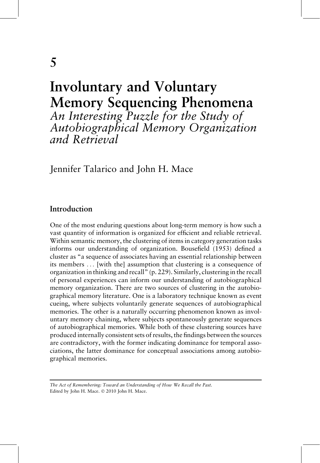# Involuntary and Voluntary Memory Sequencing Phenomena

An Interesting Puzzle for the Study of Autobiographical Memory Organization and Retrieval

Jennifer Talarico and John H. Mace

# Introduction

One of the most enduring questions about long-term memory is how such a vast quantity of information is organized for efficient and reliable retrieval. Within semantic memory, the clustering of items in category generation tasks informs our understanding of organization. Bousefield (1953) defined a cluster as "a sequence of associates having an essential relationship between its members ... [with the] assumption that clustering is a consequence of organization in thinking and recall" (p. 229). Similarly, clustering in the recall of personal experiences can inform our understanding of autobiographical memory organization. There are two sources of clustering in the autobiographical memory literature. One is a laboratory technique known as event cueing, where subjects voluntarily generate sequences of autobiographical memories. The other is a naturally occurring phenomenon known as involuntary memory chaining, where subjects spontaneously generate sequences of autobiographical memories. While both of these clustering sources have produced internally consistent sets of results, the findings between the sources are contradictory, with the former indicating dominance for temporal associations, the latter dominance for conceptual associations among autobiographical memories.

The Act of Remembering: Toward an Understanding of How We Recall the Past. Edited by John H. Mace. © 2010 John H. Mace.

# 5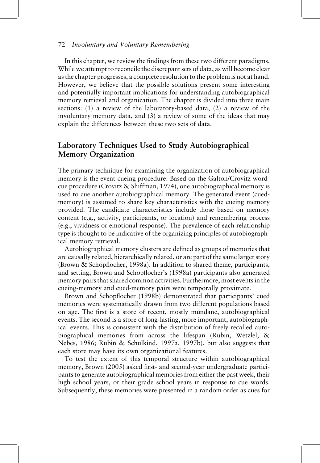In this chapter, we review the findings from these two different paradigms. While we attempt to reconcile the discrepant sets of data, as will become clear as the chapter progresses, a complete resolution to the problem is not at hand. However, we believe that the possible solutions present some interesting and potentially important implications for understanding autobiographical memory retrieval and organization. The chapter is divided into three main sections: (1) a review of the laboratory-based data, (2) a review of the involuntary memory data, and (3) a review of some of the ideas that may explain the differences between these two sets of data.

# Laboratory Techniques Used to Study Autobiographical Memory Organization

The primary technique for examining the organization of autobiographical memory is the event-cueing procedure. Based on the Galton/Crovitz wordcue procedure (Crovitz & Shiffman, 1974), one autobiographical memory is used to cue another autobiographical memory. The generated event (cuedmemory) is assumed to share key characteristics with the cueing memory provided. The candidate characteristics include those based on memory content (e.g., activity, participants, or location) and remembering process (e.g., vividness or emotional response). The prevalence of each relationship type is thought to be indicative of the organizing principles of autobiographical memory retrieval.

Autobiographical memory clusters are defined as groups of memories that are causally related, hierarchically related, or are part of the same larger story (Brown & Schopflocher, 1998a). In addition to shared theme, participants, and setting, Brown and Schopflocher's (1998a) participants also generated memory pairs that shared common activities. Furthermore, most events in the cueing-memory and cued-memory pairs were temporally proximate.

Brown and Schopflocher (1998b) demonstrated that participants' cued memories were systematically drawn from two different populations based on age. The first is a store of recent, mostly mundane, autobiographical events. The second is a store of long-lasting, more important, autobiographical events. This is consistent with the distribution of freely recalled autobiographical memories from across the lifespan (Rubin, Wetzlel, & Nebes, 1986; Rubin & Schulkind, 1997a, 1997b), but also suggests that each store may have its own organizational features.

To test the extent of this temporal structure within autobiographical memory, Brown (2005) asked first- and second-year undergraduate participants to generate autobiographical memories from either the past week, their high school years, or their grade school years in response to cue words. Subsequently, these memories were presented in a random order as cues for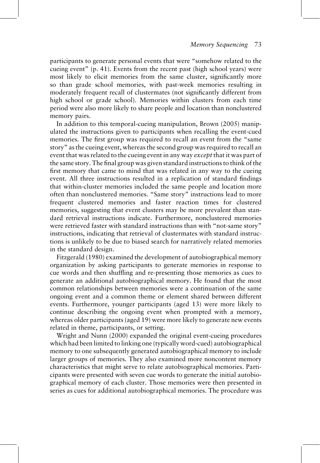participants to generate personal events that were "somehow related to the cueing event" (p. 41). Events from the recent past (high school years) were most likely to elicit memories from the same cluster, significantly more so than grade school memories, with past-week memories resulting in moderately frequent recall of clustermates (not significantly different from high school or grade school). Memories within clusters from each time period were also more likely to share people and location than nonclustered memory pairs.

In addition to this temporal-cueing manipulation, Brown (2005) manipulated the instructions given to participants when recalling the event-cued memories. The first group was required to recall an event from the "same story" as the cueing event, whereas the second group was required to recall an event that was related to the cueing event in any way *except* that it was part of the same story. The final group was given standard instructions to think of the first memory that came to mind that was related in any way to the cueing event. All three instructions resulted in a replication of standard findings that within-cluster memories included the same people and location more often than nonclustered memories. "Same story" instructions lead to more frequent clustered memories and faster reaction times for clustered memories, suggesting that event clusters may be more prevalent than standard retrieval instructions indicate. Furthermore, nonclustered memories were retrieved faster with standard instructions than with "not-same story" instructions, indicating that retrieval of clustermates with standard instructions is unlikely to be due to biased search for narratively related memories in the standard design.

Fitzgerald (1980) examined the development of autobiographical memory organization by asking participants to generate memories in response to cue words and then shuffling and re-presenting those memories as cues to generate an additional autobiographical memory. He found that the most common relationships between memories were a continuation of the same ongoing event and a common theme or element shared between different events. Furthermore, younger participants (aged 13) were more likely to continue describing the ongoing event when prompted with a memory, whereas older participants (aged 19) were more likely to generate new events related in theme, participants, or setting.

Wright and Nunn (2000) expanded the original event-cueing procedures which had been limited to linking one (typically word-cued) autobiographical memory to one subsequently generated autobiographical memory to include larger groups of memories. They also examined more noncontent memory characteristics that might serve to relate autobiographical memories. Participants were presented with seven cue words to generate the initial autobiographical memory of each cluster. Those memories were then presented in series as cues for additional autobiographical memories. The procedure was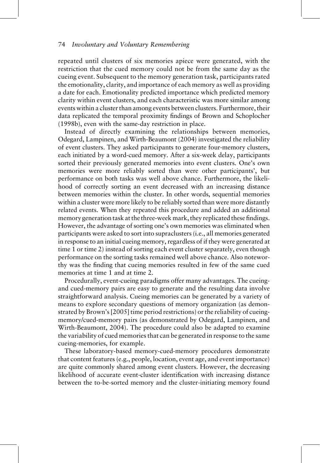repeated until clusters of six memories apiece were generated, with the restriction that the cued memory could not be from the same day as the cueing event. Subsequent to the memory generation task, participants rated the emotionality, clarity, and importance of each memory as well as providing a date for each. Emotionality predicted importance which predicted memory clarity within event clusters, and each characteristic was more similar among events within a cluster than among events between clusters. Furthermore, their data replicated the temporal proximity findings of Brown and Schoplocher (1998b), even with the same-day restriction in place.

Instead of directly examining the relationships between memories, Odegard, Lampinen, and Wirth-Beaumont (2004) investigated the reliability of event clusters. They asked participants to generate four-memory clusters, each initiated by a word-cued memory. After a six-week delay, participants sorted their previously generated memories into event clusters. One's own memories were more reliably sorted than were other participants', but performance on both tasks was well above chance. Furthermore, the likelihood of correctly sorting an event decreased with an increasing distance between memories within the cluster. In other words, sequential memories within a cluster were more likely to be reliably sorted than were more distantly related events. When they repeated this procedure and added an additional memory generation task at the three-week mark, they replicated these findings. However, the advantage of sorting one's own memories was eliminated when participants were asked to sort into supraclusters (i.e., all memories generated in response to an initial cueing memory, regardless of if they were generated at time 1 or time 2) instead of sorting each event cluster separately, even though performance on the sorting tasks remained well above chance. Also noteworthy was the finding that cueing memories resulted in few of the same cued memories at time 1 and at time 2.

Procedurally, event-cueing paradigms offer many advantages. The cueingand cued-memory pairs are easy to generate and the resulting data involve straightforward analysis. Cueing memories can be generated by a variety of means to explore secondary questions of memory organization (as demonstrated by Brown's [2005] time period restrictions) or the reliability of cueingmemory/cued-memory pairs (as demonstrated by Odegard, Lampinen, and Wirth-Beaumont, 2004). The procedure could also be adapted to examine the variability of cued memories that can be generated in response to the same cueing-memories, for example.

These laboratory-based memory-cued-memory procedures demonstrate that content features (e.g., people, location, event age, and event importance) are quite commonly shared among event clusters. However, the decreasing likelihood of accurate event-cluster identification with increasing distance between the to-be-sorted memory and the cluster-initiating memory found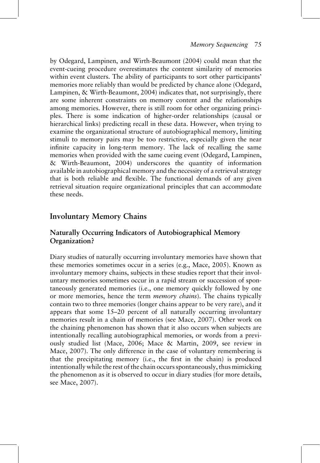by Odegard, Lampinen, and Wirth-Beaumont (2004) could mean that the event-cueing procedure overestimates the content similarity of memories within event clusters. The ability of participants to sort other participants' memories more reliably than would be predicted by chance alone (Odegard, Lampinen, & Wirth-Beaumont, 2004) indicates that, not surprisingly, there are some inherent constraints on memory content and the relationships among memories. However, there is still room for other organizing principles. There is some indication of higher-order relationships (causal or hierarchical links) predicting recall in these data. However, when trying to examine the organizational structure of autobiographical memory, limiting stimuli to memory pairs may be too restrictive, especially given the near infinite capacity in long-term memory. The lack of recalling the same memories when provided with the same cueing event (Odegard, Lampinen, & Wirth-Beaumont, 2004) underscores the quantity of information available in autobiographical memory and the necessity of a retrieval strategy that is both reliable and flexible. The functional demands of any given retrieval situation require organizational principles that can accommodate these needs.

# Involuntary Memory Chains

### Naturally Occurring Indicators of Autobiographical Memory Organization?

Diary studies of naturally occurring involuntary memories have shown that these memories sometimes occur in a series (e.g., Mace, 2005). Known as involuntary memory chains, subjects in these studies report that their involuntary memories sometimes occur in a rapid stream or succession of spontaneously generated memories (i.e., one memory quickly followed by one or more memories, hence the term *memory chains*). The chains typically contain two to three memories (longer chains appear to be very rare), and it appears that some 15–20 percent of all naturally occurring involuntary memories result in a chain of memories (see Mace, 2007). Other work on the chaining phenomenon has shown that it also occurs when subjects are intentionally recalling autobiographical memories, or words from a previously studied list (Mace, 2006; Mace & Martin, 2009, see review in Mace, 2007). The only difference in the case of voluntary remembering is that the precipitating memory (i.e., the first in the chain) is produced intentionally while the rest of the chain occurs spontaneously, thus mimicking the phenomenon as it is observed to occur in diary studies (for more details, see Mace, 2007).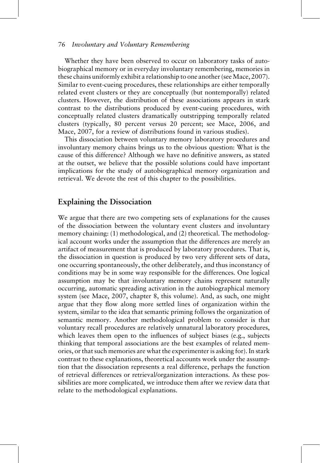Whether they have been observed to occur on laboratory tasks of autobiographical memory or in everyday involuntary remembering, memories in these chains uniformly exhibit a relationship to one another (see Mace, 2007). Similar to event-cueing procedures, these relationships are either temporally related event clusters or they are conceptually (but nontemporally) related clusters. However, the distribution of these associations appears in stark contrast to the distributions produced by event-cueing procedures, with conceptually related clusters dramatically outstripping temporally related clusters (typically, 80 percent versus 20 percent; see Mace, 2006, and Mace, 2007, for a review of distributions found in various studies).

This dissociation between voluntary memory laboratory procedures and involuntary memory chains brings us to the obvious question: What is the cause of this difference? Although we have no definitive answers, as stated at the outset, we believe that the possible solutions could have important implications for the study of autobiographical memory organization and retrieval. We devote the rest of this chapter to the possibilities.

#### Explaining the Dissociation

We argue that there are two competing sets of explanations for the causes of the dissociation between the voluntary event clusters and involuntary memory chaining: (1) methodological, and (2) theoretical. The methodological account works under the assumption that the differences are merely an artifact of measurement that is produced by laboratory procedures. That is, the dissociation in question is produced by two very different sets of data, one occurring spontaneously, the other deliberately, and thus inconstancy of conditions may be in some way responsible for the differences. One logical assumption may be that involuntary memory chains represent naturally occurring, automatic spreading activation in the autobiographical memory system (see Mace, 2007, chapter 8, this volume). And, as such, one might argue that they flow along more settled lines of organization within the system, similar to the idea that semantic priming follows the organization of semantic memory. Another methodological problem to consider is that voluntary recall procedures are relatively unnatural laboratory procedures, which leaves them open to the influences of subject biases (e.g., subjects thinking that temporal associations are the best examples of related memories, or that such memories are what the experimenter is asking for). In stark contrast to these explanations, theoretical accounts work under the assumption that the dissociation represents a real difference, perhaps the function of retrieval differences or retrieval/organization interactions. As these possibilities are more complicated, we introduce them after we review data that relate to the methodological explanations.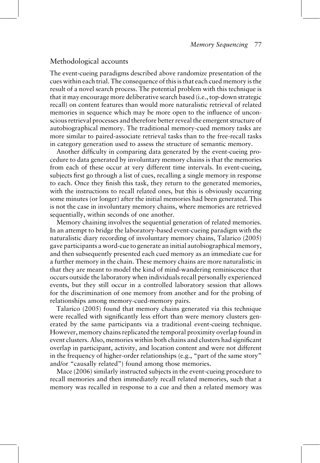#### Methodological accounts

The event-cueing paradigms described above randomize presentation of the cues within each trial. The consequence of this is that each cued memory is the result of a novel search process. The potential problem with this technique is that it may encourage more deliberative search based (i.e., top-down strategic recall) on content features than would more naturalistic retrieval of related memories in sequence which may be more open to the influence of unconscious retrieval processes and therefore better reveal the emergent structure of autobiographical memory. The traditional memory-cued memory tasks are more similar to paired-associate retrieval tasks than to the free-recall tasks in category generation used to assess the structure of semantic memory.

Another difficulty in comparing data generated by the event-cueing procedure to data generated by involuntary memory chains is that the memories from each of these occur at very different time intervals. In event-cueing, subjects first go through a list of cues, recalling a single memory in response to each. Once they finish this task, they return to the generated memories, with the instructions to recall related ones, but this is obviously occurring some minutes (or longer) after the initial memories had been generated. This is not the case in involuntary memory chains, where memories are retrieved sequentially, within seconds of one another.

Memory chaining involves the sequential generation of related memories. In an attempt to bridge the laboratory-based event-cueing paradigm with the naturalistic diary recording of involuntary memory chains, Talarico (2005) gave participants a word-cue to generate an initial autobiographical memory, and then subsequently presented each cued memory as an immediate cue for a further memory in the chain. These memory chains are more naturalistic in that they are meant to model the kind of mind-wandering reminiscence that occurs outside the laboratory when individuals recall personally experienced events, but they still occur in a controlled laboratory session that allows for the discrimination of one memory from another and for the probing of relationships among memory-cued-memory pairs.

Talarico (2005) found that memory chains generated via this technique were recalled with significantly less effort than were memory clusters generated by the same participants via a traditional event-cueing technique. However, memory chains replicated the temporal proximity overlap found in event clusters. Also, memories within both chains and clusters had significant overlap in participant, activity, and location content and were not different in the frequency of higher-order relationships (e.g., "part of the same story" and/or "causally related") found among those memories.

Mace (2006) similarly instructed subjects in the event-cueing procedure to recall memories and then immediately recall related memories, such that a memory was recalled in response to a cue and then a related memory was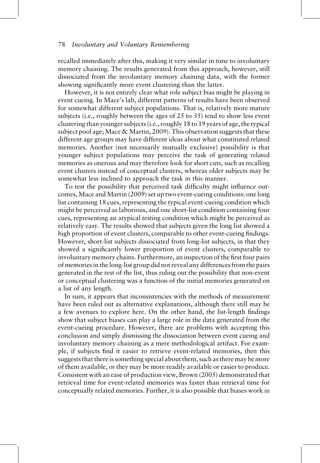recalled immediately after this, making it very similar in time to involuntary memory chaining. The results generated from this approach, however, still dissociated from the involuntary memory chaining data, with the former showing significantly more event clustering than the latter.

However, it is not entirely clear what role subject bias might be playing in event cueing. In Mace's lab, different patterns of results have been observed for somewhat different subject populations. That is, relatively more mature subjects (i.e., roughly between the ages of 25 to 35) tend to show less event clustering than younger subjects (i.e., roughly 18 to 19 years of age, the typical subject pool age; Mace & Martin, 2009). This observation suggests that these different age groups may have different ideas about what constituted related memories. Another (not necessarily mutually exclusive) possibility is that younger subject populations may perceive the task of generating related memories as onerous and may therefore look for short cuts, such as recalling event clusters instead of conceptual clusters, whereas older subjects may be somewhat less inclined to approach the task in this manner.

To test the possibility that perceived task difficulty might influence outcomes, Mace and Martin (2009) set up two event-cueing conditions: one long list containing 18 cues, representing the typical event-cueing condition which might be perceived as laborious, and one short-list condition containing four cues, representing an atypical testing condition which might be perceived as relatively easy. The results showed that subjects given the long list showed a high proportion of event clusters, comparable to other event-cueing findings. However, short-list subjects dissociated from long-list subjects, in that they showed a significantly lower proportion of event clusters, comparable to involuntary memory chains. Furthermore, an inspection of the first four pairs of memories in the long-list group did not reveal any differences from the pairs generated in the rest of the list, thus ruling out the possibility that non-event or conceptual clustering was a function of the initial memories generated on a list of any length.

In sum, it appears that inconsistencies with the methods of measurement have been ruled out as alternative explanations, although there still may be a few avenues to explore here. On the other hand, the list-length findings show that subject biases can play a large role in the data generated from the event-cueing procedure. However, there are problems with accepting this conclusion and simply dismissing the dissociation between event cueing and involuntary memory chaining as a mere methodological artifact. For example, if subjects find it easier to retrieve event-related memories, then this suggests that there is something special about them, such as there may be more of them available, or they may be more readily available or easier to produce. Consistent with an ease of production view, Brown (2005) demonstrated that retrieval time for event-related memories was faster than retrieval time for conceptually related memories. Further, it is also possible that biases work in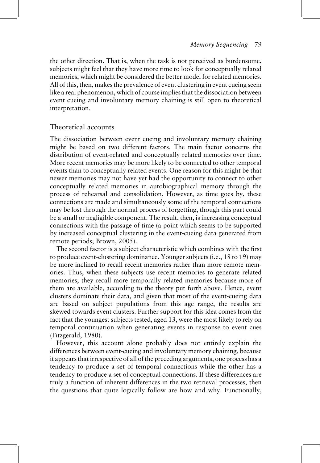the other direction. That is, when the task is not perceived as burdensome, subjects might feel that they have more time to look for conceptually related memories, which might be considered the better model for related memories. All of this, then, makes the prevalence of event clustering in event cueing seem like a real phenomenon, which of course implies that the dissociation between event cueing and involuntary memory chaining is still open to theoretical interpretation.

#### Theoretical accounts

The dissociation between event cueing and involuntary memory chaining might be based on two different factors. The main factor concerns the distribution of event-related and conceptually related memories over time. More recent memories may be more likely to be connected to other temporal events than to conceptually related events. One reason for this might be that newer memories may not have yet had the opportunity to connect to other conceptually related memories in autobiographical memory through the process of rehearsal and consolidation. However, as time goes by, these connections are made and simultaneously some of the temporal connections may be lost through the normal process of forgetting, though this part could be a small or negligible component. The result, then, is increasing conceptual connections with the passage of time (a point which seems to be supported by increased conceptual clustering in the event-cueing data generated from remote periods; Brown, 2005).

The second factor is a subject characteristic which combines with the first to produce event-clustering dominance. Younger subjects (i.e., 18 to 19) may be more inclined to recall recent memories rather than more remote memories. Thus, when these subjects use recent memories to generate related memories, they recall more temporally related memories because more of them are available, according to the theory put forth above. Hence, event clusters dominate their data, and given that most of the event-cueing data are based on subject populations from this age range, the results are skewed towards event clusters. Further support for this idea comes from the fact that the youngest subjects tested, aged 13, were the most likely to rely on temporal continuation when generating events in response to event cues (Fitzgerald, 1980).

However, this account alone probably does not entirely explain the differences between event-cueing and involuntary memory chaining, because it appears that irrespective of all of the preceding arguments, one process has a tendency to produce a set of temporal connections while the other has a tendency to produce a set of conceptual connections. If these differences are truly a function of inherent differences in the two retrieval processes, then the questions that quite logically follow are how and why. Functionally,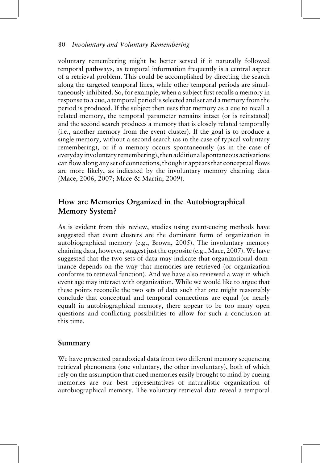voluntary remembering might be better served if it naturally followed temporal pathways, as temporal information frequently is a central aspect of a retrieval problem. This could be accomplished by directing the search along the targeted temporal lines, while other temporal periods are simultaneously inhibited. So, for example, when a subject first recalls a memory in response to a cue, a temporal period is selected and set and a memory from the period is produced. If the subject then uses that memory as a cue to recall a related memory, the temporal parameter remains intact (or is reinstated) and the second search produces a memory that is closely related temporally (i.e., another memory from the event cluster). If the goal is to produce a single memory, without a second search (as in the case of typical voluntary remembering), or if a memory occurs spontaneously (as in the case of everyday involuntary remembering), then additional spontaneous activations can flow along any set of connections, though it appears that conceptual flows are more likely, as indicated by the involuntary memory chaining data (Mace, 2006, 2007; Mace & Martin, 2009).

# How are Memories Organized in the Autobiographical Memory System?

As is evident from this review, studies using event-cueing methods have suggested that event clusters are the dominant form of organization in autobiographical memory (e.g., Brown, 2005). The involuntary memory chaining data, however, suggest just the opposite (e.g., Mace, 2007). We have suggested that the two sets of data may indicate that organizational dominance depends on the way that memories are retrieved (or organization conforms to retrieval function). And we have also reviewed a way in which event age may interact with organization. While we would like to argue that these points reconcile the two sets of data such that one might reasonably conclude that conceptual and temporal connections are equal (or nearly equal) in autobiographical memory, there appear to be too many open questions and conflicting possibilities to allow for such a conclusion at this time.

#### Summary

We have presented paradoxical data from two different memory sequencing retrieval phenomena (one voluntary, the other involuntary), both of which rely on the assumption that cued memories easily brought to mind by cueing memories are our best representatives of naturalistic organization of autobiographical memory. The voluntary retrieval data reveal a temporal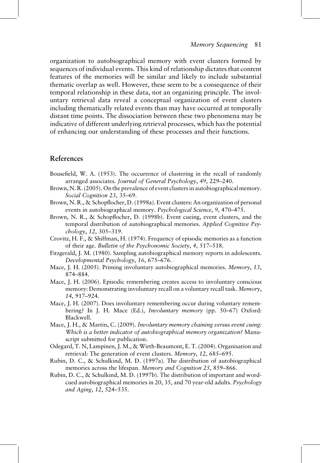organization to autobiographical memory with event clusters formed by sequences of individual events. This kind of relationship dictates that content features of the memories will be similar and likely to include substantial thematic overlap as well. However, these seem to be a consequence of their temporal relationship in these data, not an organizing principle. The involuntary retrieval data reveal a conceptual organization of event clusters including thematically related events than may have occurred at temporally distant time points. The dissociation between these two phenomena may be indicative of different underlying retrieval processes, which has the potential of enhancing our understanding of these processes and their functions.

#### References

- Bousefield, W. A. (1953). The occurrence of clustering in the recall of randomly arranged associates. Journal of General Psychology, 49, 229–240.
- Brown, N. R. (2005). On the prevalence of event clusters in autobiographical memory. Social Cognition 23, 35–69.
- Brown, N. R., & Schopflocher, D. (1998a). Event clusters: An organization of personal events in autobiographical memory. Psychological Science, 9, 470–475.
- Brown, N. R., & Schopflocher, D. (1998b). Event cueing, event clusters, and the temporal distribution of autobiographical memories. Applied Cognitive Psychology, 12, 305–319.
- Crovitz, H. F., & Shiffman, H. (1974). Frequency of episodic memories as a function of their age. Bulletin of the Psychonomic Society, 4, 517–518.
- Fitzgerald, J. M. (1980). Sampling autobiographical memory reports in adolescents. Developmental Psychology, 16, 675–676.
- Mace, J. H. (2005). Priming involuntary autobiographical memories. Memory, 13, 874–884.
- Mace, J. H. (2006). Episodic remembering creates access to involuntary conscious memory: Demonstrating involuntary recall on a voluntary recall task. Memory, 14, 917–924.
- Mace, J. H. (2007). Does involuntary remembering occur during voluntary remembering? In J. H. Mace (Ed.), Involuntary memory (pp. 50–67) Oxford: Blackwell.
- Mace, J. H., & Martin, C. (2009). Involuntary memory chaining versus event cuing: Which is a better indicator of autobiographical memory organization? Manuscript submitted for publication.
- Odegard, T. N, Lampinen, J. M., & Wirth-Beaumont, E. T. (2004). Organisation and retrieval: The generation of event clusters. Memory, 12, 685–695.
- Rubin, D. C., & Schulkind, M. D. (1997a). The distribution of autobiographical memories across the lifespan. Memory and Cognition 25, 859–866.
- Rubin, D. C., & Schulkind, M. D. (1997b). The distribution of important and wordcued autobiographical memories in 20, 35, and 70 year-old adults. Psychology and Aging, 12, 524–535.